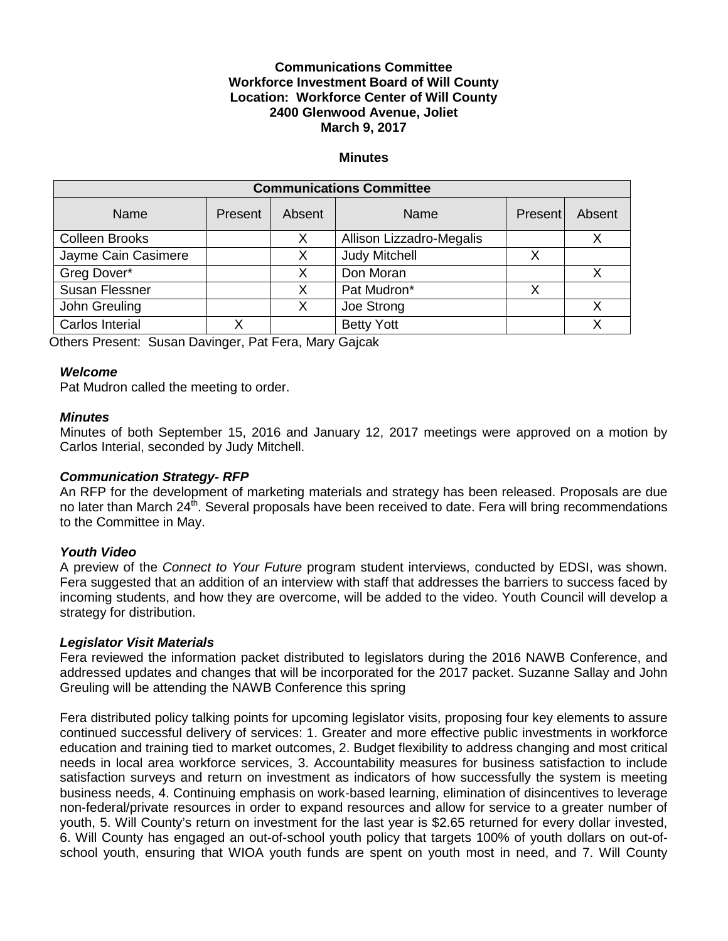## **Communications Committee Workforce Investment Board of Will County Location: Workforce Center of Will County 2400 Glenwood Avenue, Joliet March 9, 2017**

#### **Minutes**

| <b>Communications Committee</b> |         |        |                          |         |        |
|---------------------------------|---------|--------|--------------------------|---------|--------|
| Name                            | Present | Absent | Name                     | Present | Absent |
| <b>Colleen Brooks</b>           |         | Х      | Allison Lizzadro-Megalis |         |        |
| Jayme Cain Casimere             |         | Х      | <b>Judy Mitchell</b>     |         |        |
| Greg Dover*                     |         | X      | Don Moran                |         |        |
| <b>Susan Flessner</b>           |         | X      | Pat Mudron*              | х       |        |
| John Greuling                   |         | X      | Joe Strong               |         | х      |
| Carlos Interial                 | v       |        | <b>Betty Yott</b>        |         |        |

Others Present: Susan Davinger, Pat Fera, Mary Gajcak

### *Welcome*

Pat Mudron called the meeting to order.

#### *Minutes*

Minutes of both September 15, 2016 and January 12, 2017 meetings were approved on a motion by Carlos Interial, seconded by Judy Mitchell.

### *Communication Strategy- RFP*

An RFP for the development of marketing materials and strategy has been released. Proposals are due no later than March 24<sup>th</sup>. Several proposals have been received to date. Fera will bring recommendations to the Committee in May.

### *Youth Video*

A preview of the *Connect to Your Future* program student interviews, conducted by EDSI, was shown. Fera suggested that an addition of an interview with staff that addresses the barriers to success faced by incoming students, and how they are overcome, will be added to the video. Youth Council will develop a strategy for distribution.

### *Legislator Visit Materials*

Fera reviewed the information packet distributed to legislators during the 2016 NAWB Conference, and addressed updates and changes that will be incorporated for the 2017 packet. Suzanne Sallay and John Greuling will be attending the NAWB Conference this spring

Fera distributed policy talking points for upcoming legislator visits, proposing four key elements to assure continued successful delivery of services: 1. Greater and more effective public investments in workforce education and training tied to market outcomes, 2. Budget flexibility to address changing and most critical needs in local area workforce services, 3. Accountability measures for business satisfaction to include satisfaction surveys and return on investment as indicators of how successfully the system is meeting business needs, 4. Continuing emphasis on work-based learning, elimination of disincentives to leverage non-federal/private resources in order to expand resources and allow for service to a greater number of youth, 5. Will County's return on investment for the last year is \$2.65 returned for every dollar invested, 6. Will County has engaged an out-of-school youth policy that targets 100% of youth dollars on out-ofschool youth, ensuring that WIOA youth funds are spent on youth most in need, and 7. Will County